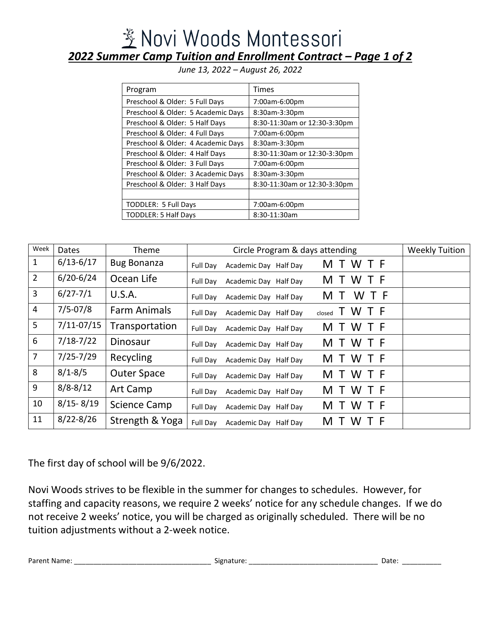## <u> ※</u> Novi Woods Montessori *2022 Summer Camp Tuition and Enrollment Contract – Page 1 of 2*

*June 13, 2022 – August 26, 2022*

| Program                            | <b>Times</b>                 |
|------------------------------------|------------------------------|
| Preschool & Older: 5 Full Days     | 7:00am-6:00pm                |
| Preschool & Older: 5 Academic Days | 8:30am-3:30pm                |
| Preschool & Older: 5 Half Days     | 8:30-11:30am or 12:30-3:30pm |
| Preschool & Older: 4 Full Days     | 7:00am-6:00pm                |
| Preschool & Older: 4 Academic Days | 8:30am-3:30pm                |
| Preschool & Older: 4 Half Days     | 8:30-11:30am or 12:30-3:30pm |
| Preschool & Older: 3 Full Days     | 7:00am-6:00pm                |
| Preschool & Older: 3 Academic Days | 8:30am-3:30pm                |
| Preschool & Older: 3 Half Days     | 8:30-11:30am or 12:30-3:30pm |
|                                    |                              |
| TODDLER: 5 Full Days               | 7:00am-6:00pm                |
| <b>TODDLER: 5 Half Days</b>        | 8:30-11:30am                 |

Week | Dates | Theme | Circle Program & days attending | Weekly Tuition 1  $\mid$  6/13-6/17 | Bug Bonanza | Full Day Academic Day Half Day  $\mid$  M T W T F 2  $\mid$  6/20-6/24  $\mid$  Ocean Life  $\mid$  Full Day Academic Day Half Day M T W T F  $\begin{array}{|l|c|c|c|c|}\n3 & 6/27-7/1 & U.S.A. & \text{Full Day} & \text{Academic Day Half Day} & \text{M T W T F}\n\end{array}$  $4$  | 7/5-07/8 | Farm Animals | Full Day Academic Day Half Day closed T W T F  $\frac{1}{7}$  7/11-07/15 Transportation  $\vert$  Full Day Academic Day Half Day M T W T F  $\begin{array}{c|c|c|c|c} \hline \text{6} & \text{7/18-7/22} & \text{Dinosaur} & & \text{Full Day} & \text{Academic Day Half Day} & \text{M T W T F} \end{array}$ 7 | 7/25-7/29 | Recycling | Full Day Academic Day Half Day M T W T F 8  $|8/1-8/5|$  Outer Space  $\vert$  Full Day Academic Day Half Day M T W T F 9  $|8/8-8/12|$  Art Camp  $\Big|$  Full Day Academic Day Half Day M T W T F 10  $|8/15-8/19|$  Science Camp  $|$  Full Day Academic Day Half Day M T W T F 11 | 8/22-8/26 | Strength & Yoga | Full Day Academic Day Half Day  $M$  T W T F

The first day of school will be 9/6/2022.

Novi Woods strives to be flexible in the summer for changes to schedules. However, for staffing and capacity reasons, we require 2 weeks' notice for any schedule changes. If we do not receive 2 weeks' notice, you will be charged as originally scheduled. There will be no tuition adjustments without a 2-week notice.

Parent Name: \_\_\_\_\_\_\_\_\_\_\_\_\_\_\_\_\_\_\_\_\_\_\_\_\_\_\_\_\_\_\_\_\_\_\_ Signature: \_\_\_\_\_\_\_\_\_\_\_\_\_\_\_\_\_\_\_\_\_\_\_\_\_\_\_\_\_\_\_\_\_ Date: \_\_\_\_\_\_\_\_\_\_